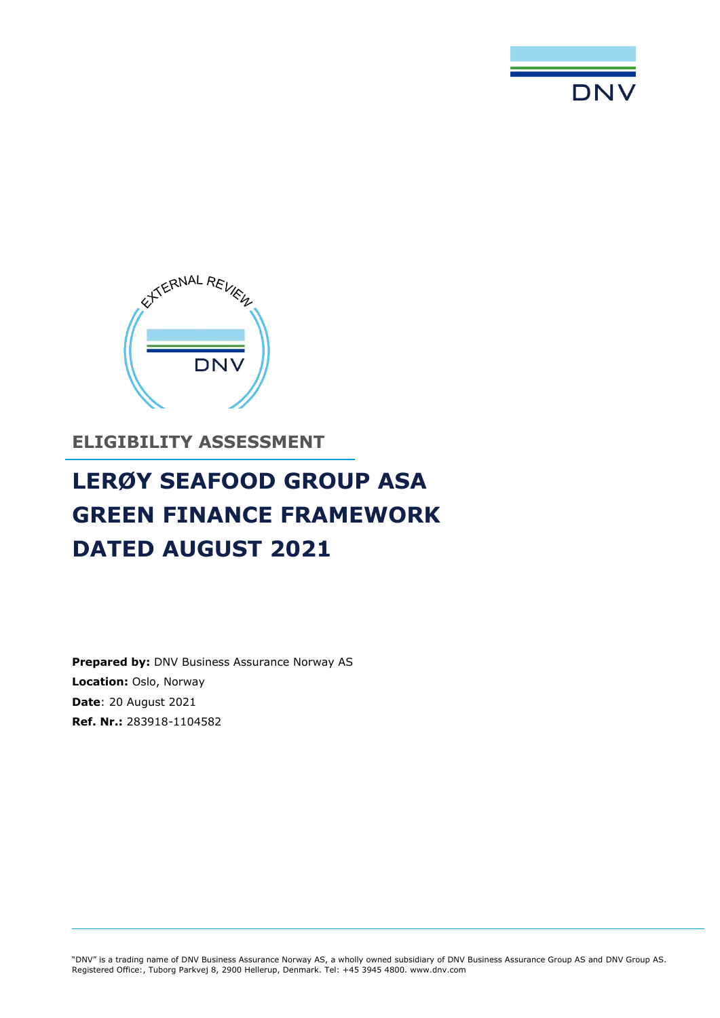



**ELIGIBILITY ASSESSMENT** 

# **LERØY SEAFOOD GROUP ASA GREEN FINANCE FRAMEWORK DATED AUGUST 2021**

**Prepared by: DNV Business Assurance Norway AS Location:** Oslo, Norway **Date**: 20 August 2021 **Ref. Nr.:** 283918-1104582

"DNV" is a trading name of DNV Business Assurance Norway AS, a wholly owned subsidiary of DNV Business Assurance Group AS and DNV Group AS. Registered Office:, Tuborg Parkvej 8, 2900 Hellerup, Denmark. Tel: +45 3945 4800. www.dnv.com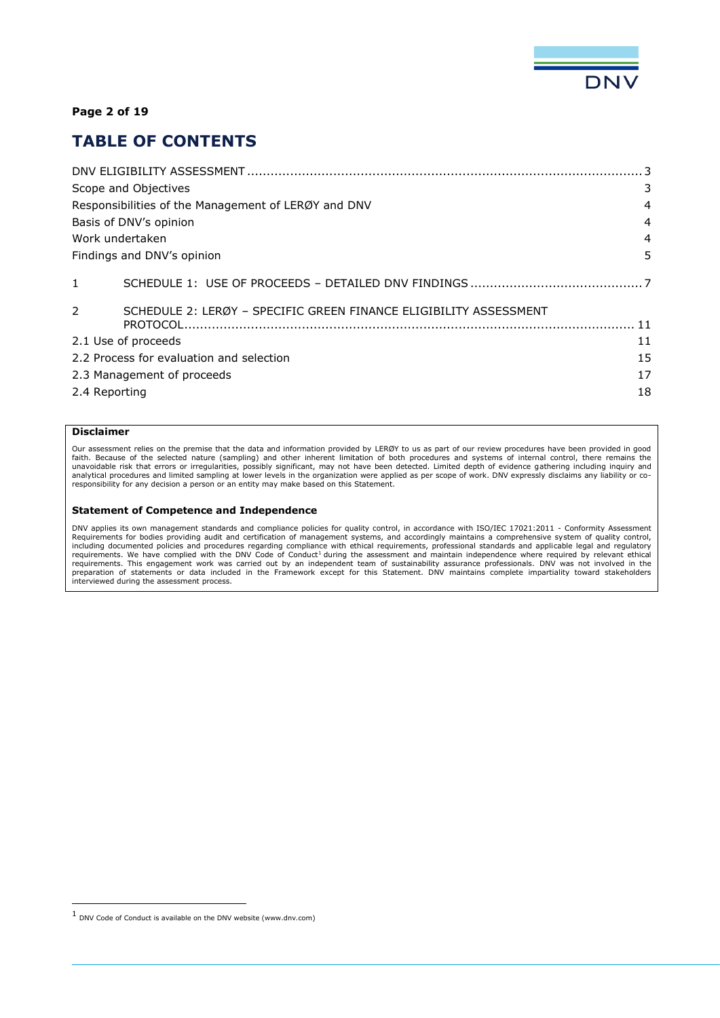

#### **Page 2 of 19**

### **TABLE OF CONTENTS**

|               | Scope and Objectives                                                            | 3              |
|---------------|---------------------------------------------------------------------------------|----------------|
|               | Responsibilities of the Management of LERØY and DNV                             | 4              |
|               | Basis of DNV's opinion                                                          | 4              |
|               | Work undertaken                                                                 | $\overline{4}$ |
|               | Findings and DNV's opinion                                                      | 5              |
| $\mathbf{1}$  |                                                                                 |                |
| $\mathcal{P}$ | SCHEDULE 2: LERØY - SPECIFIC GREEN FINANCE ELIGIBILITY ASSESSMENT<br>$PROTOCO1$ |                |
|               | 2.1 Use of proceeds                                                             | 11             |
|               | 2.2 Process for evaluation and selection                                        | 15             |
|               | 2.3 Management of proceeds                                                      | 17             |
|               | 2.4 Reporting                                                                   | 18             |
|               |                                                                                 |                |

#### **Disclaimer**

Our assessment relies on the premise that the data and information provided by LERØY to us as part of our review procedures have been provided in good faith. Because of the selected nature (sampling) and other inherent limitation of both procedures and systems of internal control, there remains the unavoidable risk that errors or irregularities, possibly significant, may not have been detected. Limited depth of evidence gathering including inquiry and<br>analytical procedures and limited sampling at lower levels in the responsibility for any decision a person or an entity may make based on this Statement.

#### **Statement of Competence and Independence**

DNV applies its own management standards and compliance policies for quality control, in accordance with ISO/IEC 17021:2011 - Conformity Assessment<br>Requirements for bodies providing audit and certification of management sy including documented policies and procedures regarding compliance with ethical requirements, professional standards and applicable legal and regulatory<br>requirements. This engagement work was carried out by an independent t

<sup>1</sup> DNV Code of Conduct is available on the DNV website (www.dnv.com)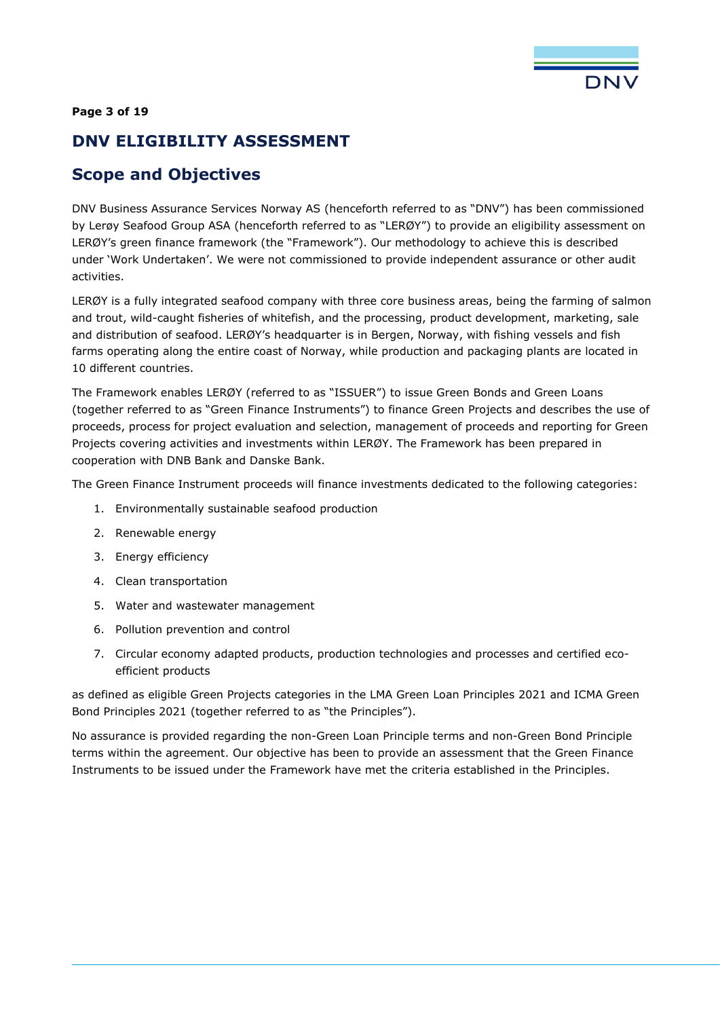

#### **Page 3 of 19**

## <span id="page-2-0"></span>**DNV ELIGIBILITY ASSESSMENT**

# <span id="page-2-1"></span>**Scope and Objectives**

DNV Business Assurance Services Norway AS (henceforth referred to as "DNV") has been commissioned by Lerøy Seafood Group ASA (henceforth referred to as "LERØY") to provide an eligibility assessment on LERØY's green finance framework (the "Framework"). Our methodology to achieve this is described under 'Work Undertaken'. We were not commissioned to provide independent assurance or other audit activities.

LERØY is a fully integrated seafood company with three core business areas, being the farming of salmon and trout, wild-caught fisheries of whitefish, and the processing, product development, marketing, sale and distribution of seafood. LERØY's headquarter is in Bergen, Norway, with fishing vessels and fish farms operating along the entire coast of Norway, while production and packaging plants are located in 10 different countries.

The Framework enables LERØY (referred to as "ISSUER") to issue Green Bonds and Green Loans (together referred to as "Green Finance Instruments") to finance Green Projects and describes the use of proceeds, process for project evaluation and selection, management of proceeds and reporting for Green Projects covering activities and investments within LERØY. The Framework has been prepared in cooperation with DNB Bank and Danske Bank.

The Green Finance Instrument proceeds will finance investments dedicated to the following categories:

- 1. Environmentally sustainable seafood production
- 2. Renewable energy
- 3. Energy efficiency
- 4. Clean transportation
- 5. Water and wastewater management
- 6. Pollution prevention and control
- 7. Circular economy adapted products, production technologies and processes and certified ecoefficient products

as defined as eligible Green Projects categories in the LMA Green Loan Principles 2021 and ICMA Green Bond Principles 2021 (together referred to as "the Principles").

No assurance is provided regarding the non-Green Loan Principle terms and non-Green Bond Principle terms within the agreement. Our objective has been to provide an assessment that the Green Finance Instruments to be issued under the Framework have met the criteria established in the Principles.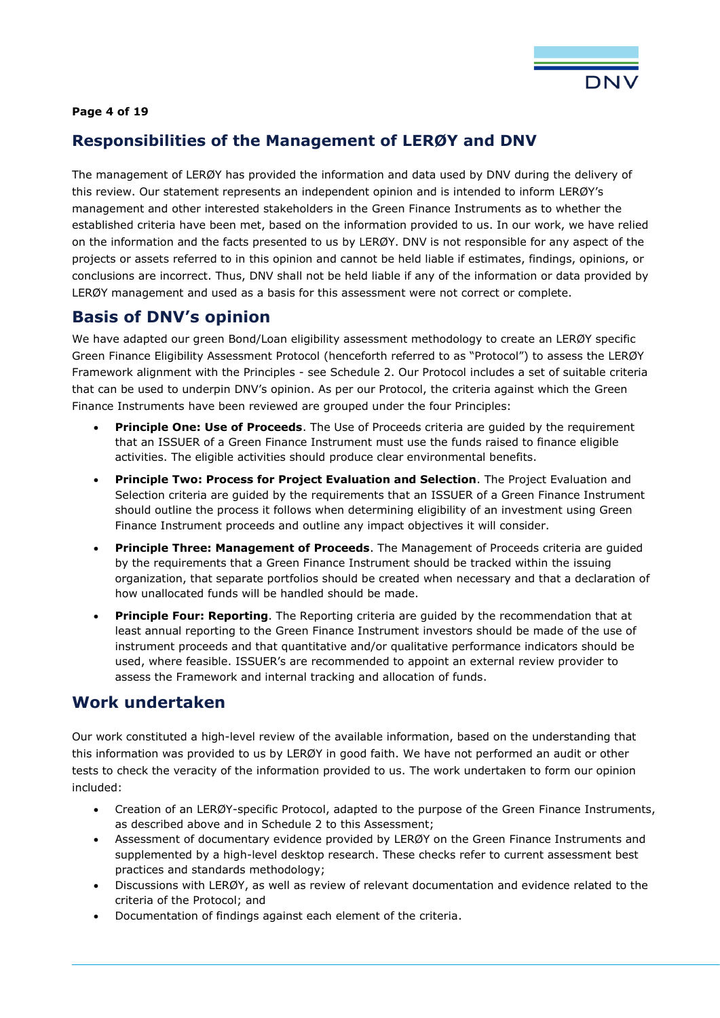

### **Page 4 of 19**

### <span id="page-3-0"></span>**Responsibilities of the Management of LERØY and DNV**

The management of LERØY has provided the information and data used by DNV during the delivery of this review. Our statement represents an independent opinion and is intended to inform LERØY's management and other interested stakeholders in the Green Finance Instruments as to whether the established criteria have been met, based on the information provided to us. In our work, we have relied on the information and the facts presented to us by LERØY. DNV is not responsible for any aspect of the projects or assets referred to in this opinion and cannot be held liable if estimates, findings, opinions, or conclusions are incorrect. Thus, DNV shall not be held liable if any of the information or data provided by LERØY management and used as a basis for this assessment were not correct or complete.

### <span id="page-3-1"></span>**Basis of DNV's opinion**

We have adapted our green Bond/Loan eligibility assessment methodology to create an LERØY specific Green Finance Eligibility Assessment Protocol (henceforth referred to as "Protocol") to assess the LERØY Framework alignment with the Principles - see Schedule 2. Our Protocol includes a set of suitable criteria that can be used to underpin DNV's opinion. As per our Protocol, the criteria against which the Green Finance Instruments have been reviewed are grouped under the four Principles:

- **Principle One: Use of Proceeds.** The Use of Proceeds criteria are guided by the requirement that an ISSUER of a Green Finance Instrument must use the funds raised to finance eligible activities. The eligible activities should produce clear environmental benefits.
- **Principle Two: Process for Project Evaluation and Selection**. The Project Evaluation and Selection criteria are guided by the requirements that an ISSUER of a Green Finance Instrument should outline the process it follows when determining eligibility of an investment using Green Finance Instrument proceeds and outline any impact objectives it will consider.
- **Principle Three: Management of Proceeds**. The Management of Proceeds criteria are guided by the requirements that a Green Finance Instrument should be tracked within the issuing organization, that separate portfolios should be created when necessary and that a declaration of how unallocated funds will be handled should be made.
- **Principle Four: Reporting**. The Reporting criteria are guided by the recommendation that at least annual reporting to the Green Finance Instrument investors should be made of the use of instrument proceeds and that quantitative and/or qualitative performance indicators should be used, where feasible. ISSUER's are recommended to appoint an external review provider to assess the Framework and internal tracking and allocation of funds.

### <span id="page-3-2"></span>**Work undertaken**

Our work constituted a high-level review of the available information, based on the understanding that this information was provided to us by LERØY in good faith. We have not performed an audit or other tests to check the veracity of the information provided to us. The work undertaken to form our opinion included:

- Creation of an LERØY-specific Protocol, adapted to the purpose of the Green Finance Instruments, as described above and in Schedule 2 to this Assessment;
- Assessment of documentary evidence provided by LERØY on the Green Finance Instruments and supplemented by a high-level desktop research. These checks refer to current assessment best practices and standards methodology;
- Discussions with LERØY, as well as review of relevant documentation and evidence related to the criteria of the Protocol; and
- Documentation of findings against each element of the criteria.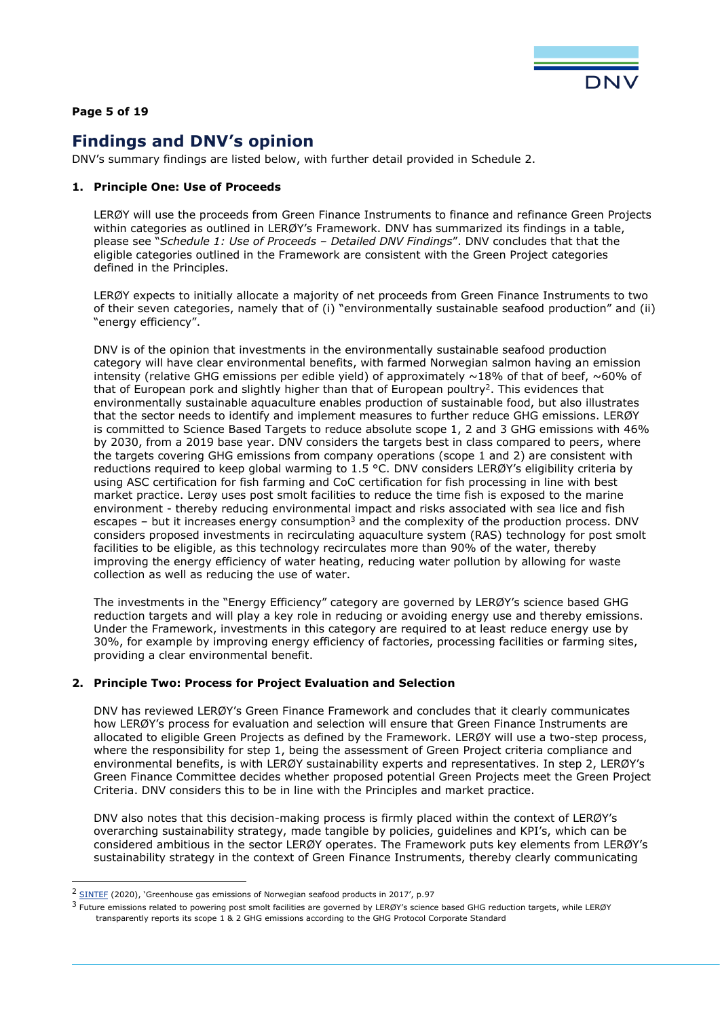

#### **Page 5 of 19**

# <span id="page-4-0"></span>**Findings and DNV's opinion**

DNV's summary findings are listed below, with further detail provided in Schedule 2.

#### **1. Principle One: Use of Proceeds**

LERØY will use the proceeds from Green Finance Instruments to finance and refinance Green Projects within categories as outlined in LERØY's Framework. DNV has summarized its findings in a table, please see "*Schedule 1: Use of Proceeds – Detailed DNV Findings*". DNV concludes that that the eligible categories outlined in the Framework are consistent with the Green Project categories defined in the Principles.

LERØY expects to initially allocate a majority of net proceeds from Green Finance Instruments to two of their seven categories, namely that of (i) "environmentally sustainable seafood production" and (ii) "energy efficiency".

DNV is of the opinion that investments in the environmentally sustainable seafood production category will have clear environmental benefits, with farmed Norwegian salmon having an emission intensity (relative GHG emissions per edible yield) of approximately  $\sim$ 18% of that of beef,  $\sim$ 60% of that of European pork and slightly higher than that of European poultry<sup>2</sup>. This evidences that environmentally sustainable aquaculture enables production of sustainable food, but also illustrates that the sector needs to identify and implement measures to further reduce GHG emissions. LERØY is committed to Science Based Targets to reduce absolute scope 1, 2 and 3 GHG emissions with 46% by 2030, from a 2019 base year. DNV considers the targets best in class compared to peers, where the targets covering GHG emissions from company operations (scope 1 and 2) are consistent with reductions required to keep global warming to 1.5 °C. DNV considers LERØY's eligibility criteria by using ASC certification for fish farming and CoC certification for fish processing in line with best market practice. Lerøy uses post smolt facilities to reduce the time fish is exposed to the marine environment - thereby reducing environmental impact and risks associated with sea lice and fish escapes – but it increases energy consumption<sup>3</sup> and the complexity of the production process. DNV considers proposed investments in recirculating aquaculture system (RAS) technology for post smolt facilities to be eligible, as this technology recirculates more than 90% of the water, thereby improving the energy efficiency of water heating, reducing water pollution by allowing for waste collection as well as reducing the use of water.

The investments in the "Energy Efficiency" category are governed by LERØY's science based GHG reduction targets and will play a key role in reducing or avoiding energy use and thereby emissions. Under the Framework, investments in this category are required to at least reduce energy use by 30%, for example by improving energy efficiency of factories, processing facilities or farming sites, providing a clear environmental benefit.

#### **2. Principle Two: Process for Project Evaluation and Selection**

DNV has reviewed LERØY's Green Finance Framework and concludes that it clearly communicates how LERØY's process for evaluation and selection will ensure that Green Finance Instruments are allocated to eligible Green Projects as defined by the Framework. LERØY will use a two-step process, where the responsibility for step 1, being the assessment of Green Project criteria compliance and environmental benefits, is with LERØY sustainability experts and representatives. In step 2, LERØY's Green Finance Committee decides whether proposed potential Green Projects meet the Green Project Criteria. DNV considers this to be in line with the Principles and market practice.

DNV also notes that this decision-making process is firmly placed within the context of LERØY's overarching sustainability strategy, made tangible by policies, guidelines and KPI's, which can be considered ambitious in the sector LERØY operates. The Framework puts key elements from LERØY's sustainability strategy in the context of Green Finance Instruments, thereby clearly communicating

<sup>&</sup>lt;sup>2</sup> SINTEE (2020), 'Greenhouse gas emissions of Norwegian seafood products in 2017', p.97

<sup>3</sup> Future emissions related to powering post smolt facilities are governed by LERØY's science based GHG reduction targets, while LERØY transparently reports its scope 1 & 2 GHG emissions according to the GHG Protocol Corporate Standard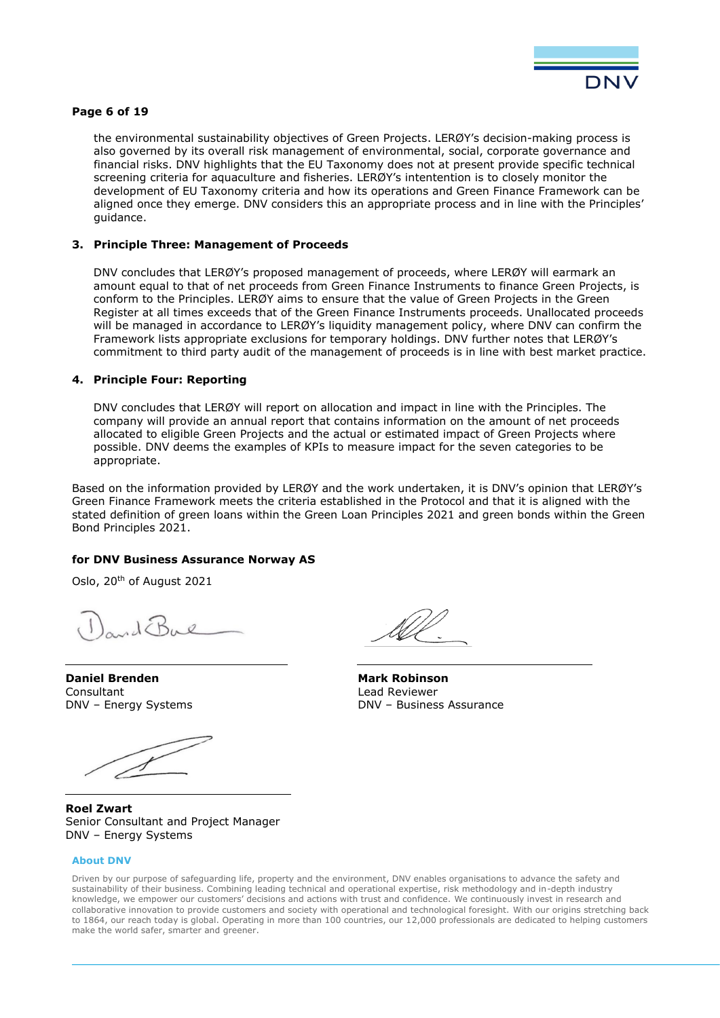

#### **Page 6 of 19**

the environmental sustainability objectives of Green Projects. LERØY's decision-making process is also governed by its overall risk management of environmental, social, corporate governance and financial risks. DNV highlights that the EU Taxonomy does not at present provide specific technical screening criteria for aquaculture and fisheries. LERØY's intentention is to closely monitor the development of EU Taxonomy criteria and how its operations and Green Finance Framework can be aligned once they emerge. DNV considers this an appropriate process and in line with the Principles' guidance.

#### **3. Principle Three: Management of Proceeds**

DNV concludes that LERØY's proposed management of proceeds, where LERØY will earmark an amount equal to that of net proceeds from Green Finance Instruments to finance Green Projects, is conform to the Principles. LERØY aims to ensure that the value of Green Projects in the Green Register at all times exceeds that of the Green Finance Instruments proceeds. Unallocated proceeds will be managed in accordance to LERØY's liquidity management policy, where DNV can confirm the Framework lists appropriate exclusions for temporary holdings. DNV further notes that LERØY's commitment to third party audit of the management of proceeds is in line with best market practice.

#### **4. Principle Four: Reporting**

DNV concludes that LERØY will report on allocation and impact in line with the Principles. The company will provide an annual report that contains information on the amount of net proceeds allocated to eligible Green Projects and the actual or estimated impact of Green Projects where possible. DNV deems the examples of KPIs to measure impact for the seven categories to be appropriate.

Based on the information provided by LERØY and the work undertaken, it is DNV's opinion that LERØY's Green Finance Framework meets the criteria established in the Protocol and that it is aligned with the stated definition of green loans within the Green Loan Principles 2021 and green bonds within the Green Bond Principles 2021.

#### **for DNV Business Assurance Norway AS**

Oslo, 20th of August 2021

**Daniel Brenden**  Consultant DNV – Energy Systems

**Roel Zwart** Senior Consultant and Project Manager DNV – Energy Systems

#### **About DNV**

**Mark Robinson** Lead Reviewer DNV – Business Assurance

Driven by our purpose of safeguarding life, property and the environment, DNV enables organisations to advance the safety and sustainability of their business. Combining leading technical and operational expertise, risk methodology and in-depth industry knowledge, we empower our customers' decisions and actions with trust and confidence. We continuously invest in research and collaborative innovation to provide customers and society with operational and technological foresight. With our origins stretching back to 1864, our reach today is global. Operating in more than 100 countries, our 12,000 professionals are dedicated to helping customers make the world safer, smarter and greener.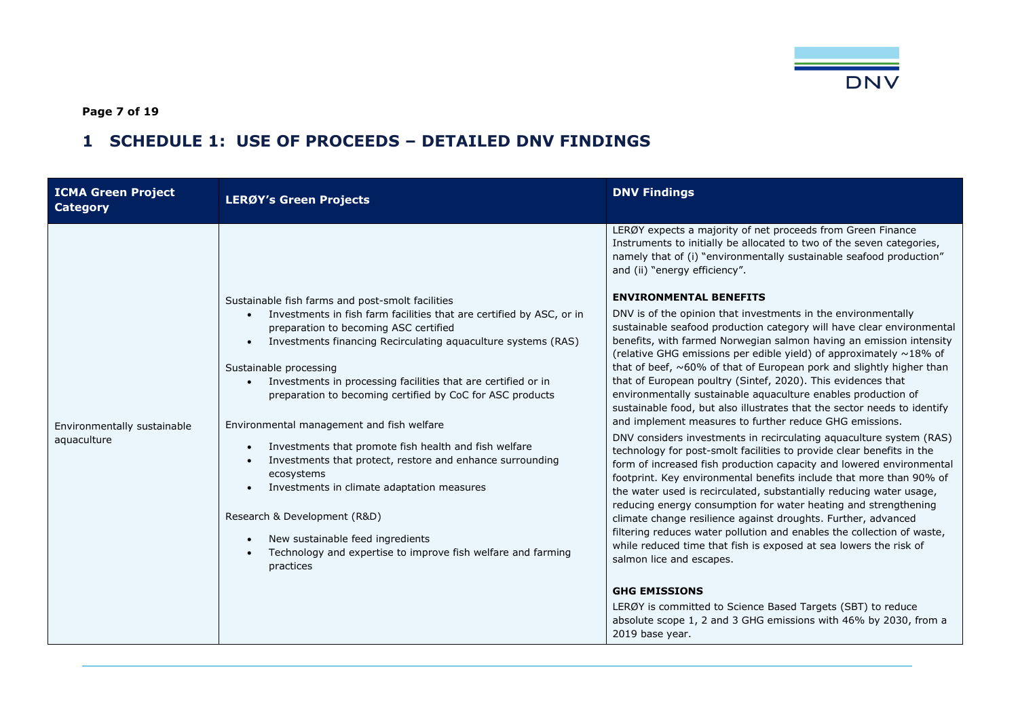

**Page 7 of 19**

# **1 SCHEDULE 1: USE OF PROCEEDS – DETAILED DNV FINDINGS**

<span id="page-6-0"></span>

| <b>ICMA Green Project</b><br><b>Category</b> | <b>LERØY's Green Projects</b>                                                                                                                                                                                                                                                                                                                                                                                                                                                                                                                                                                                                                                                                                                                                                                                                                                                      | <b>DNV Findings</b>                                                                                                                                                                                                                                                                                                                                                                                                                                                                                                                                                                                                                                                                                                                                                                                                                                                                                                                                                                                                                                                                                                                                                                                                                                                                                                                                                                                                                                                                                                                                                                                                                                                                                                                                                                        |
|----------------------------------------------|------------------------------------------------------------------------------------------------------------------------------------------------------------------------------------------------------------------------------------------------------------------------------------------------------------------------------------------------------------------------------------------------------------------------------------------------------------------------------------------------------------------------------------------------------------------------------------------------------------------------------------------------------------------------------------------------------------------------------------------------------------------------------------------------------------------------------------------------------------------------------------|--------------------------------------------------------------------------------------------------------------------------------------------------------------------------------------------------------------------------------------------------------------------------------------------------------------------------------------------------------------------------------------------------------------------------------------------------------------------------------------------------------------------------------------------------------------------------------------------------------------------------------------------------------------------------------------------------------------------------------------------------------------------------------------------------------------------------------------------------------------------------------------------------------------------------------------------------------------------------------------------------------------------------------------------------------------------------------------------------------------------------------------------------------------------------------------------------------------------------------------------------------------------------------------------------------------------------------------------------------------------------------------------------------------------------------------------------------------------------------------------------------------------------------------------------------------------------------------------------------------------------------------------------------------------------------------------------------------------------------------------------------------------------------------------|
| Environmentally sustainable<br>aquaculture   | Sustainable fish farms and post-smolt facilities<br>Investments in fish farm facilities that are certified by ASC, or in<br>$\bullet$<br>preparation to becoming ASC certified<br>Investments financing Recirculating aquaculture systems (RAS)<br>$\bullet$<br>Sustainable processing<br>Investments in processing facilities that are certified or in<br>$\bullet$<br>preparation to becoming certified by CoC for ASC products<br>Environmental management and fish welfare<br>Investments that promote fish health and fish welfare<br>$\bullet$<br>Investments that protect, restore and enhance surrounding<br>$\bullet$<br>ecosystems<br>Investments in climate adaptation measures<br>$\bullet$<br>Research & Development (R&D)<br>New sustainable feed ingredients<br>$\bullet$<br>Technology and expertise to improve fish welfare and farming<br>$\bullet$<br>practices | LERØY expects a majority of net proceeds from Green Finance<br>Instruments to initially be allocated to two of the seven categories,<br>namely that of (i) "environmentally sustainable seafood production"<br>and (ii) "energy efficiency".<br><b>ENVIRONMENTAL BENEFITS</b><br>DNV is of the opinion that investments in the environmentally<br>sustainable seafood production category will have clear environmental<br>benefits, with farmed Norwegian salmon having an emission intensity<br>(relative GHG emissions per edible yield) of approximately ~18% of<br>that of beef, $~60\%$ of that of European pork and slightly higher than<br>that of European poultry (Sintef, 2020). This evidences that<br>environmentally sustainable aquaculture enables production of<br>sustainable food, but also illustrates that the sector needs to identify<br>and implement measures to further reduce GHG emissions.<br>DNV considers investments in recirculating aquaculture system (RAS)<br>technology for post-smolt facilities to provide clear benefits in the<br>form of increased fish production capacity and lowered environmental<br>footprint. Key environmental benefits include that more than 90% of<br>the water used is recirculated, substantially reducing water usage,<br>reducing energy consumption for water heating and strengthening<br>climate change resilience against droughts. Further, advanced<br>filtering reduces water pollution and enables the collection of waste,<br>while reduced time that fish is exposed at sea lowers the risk of<br>salmon lice and escapes.<br><b>GHG EMISSIONS</b><br>LERØY is committed to Science Based Targets (SBT) to reduce<br>absolute scope 1, 2 and 3 GHG emissions with 46% by 2030, from a<br>2019 base year. |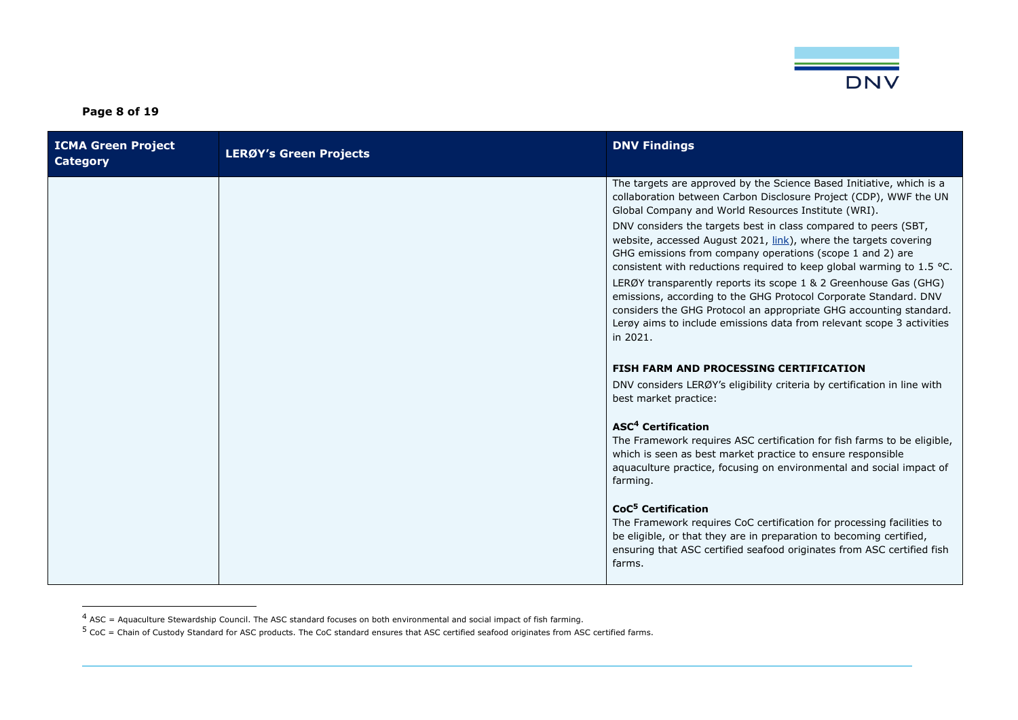

**Page 8 of 19**

| <b>ICMA Green Project</b><br><b>Category</b> | <b>LERØY's Green Projects</b> | <b>DNV Findings</b>                                                                                                                                                                                                                                                                                                                                                                                                                                                                                                                                                                                                                                                                                                                                                                      |
|----------------------------------------------|-------------------------------|------------------------------------------------------------------------------------------------------------------------------------------------------------------------------------------------------------------------------------------------------------------------------------------------------------------------------------------------------------------------------------------------------------------------------------------------------------------------------------------------------------------------------------------------------------------------------------------------------------------------------------------------------------------------------------------------------------------------------------------------------------------------------------------|
|                                              |                               | The targets are approved by the Science Based Initiative, which is a<br>collaboration between Carbon Disclosure Project (CDP), WWF the UN<br>Global Company and World Resources Institute (WRI).<br>DNV considers the targets best in class compared to peers (SBT,<br>website, accessed August 2021, <i>link</i> ), where the targets covering<br>GHG emissions from company operations (scope 1 and 2) are<br>consistent with reductions required to keep global warming to 1.5 °C.<br>LERØY transparently reports its scope 1 & 2 Greenhouse Gas (GHG)<br>emissions, according to the GHG Protocol Corporate Standard. DNV<br>considers the GHG Protocol an appropriate GHG accounting standard.<br>Lerøy aims to include emissions data from relevant scope 3 activities<br>in 2021. |
|                                              |                               | <b>FISH FARM AND PROCESSING CERTIFICATION</b><br>DNV considers LERØY's eligibility criteria by certification in line with<br>best market practice:                                                                                                                                                                                                                                                                                                                                                                                                                                                                                                                                                                                                                                       |
|                                              |                               | <b>ASC<sup>4</sup></b> Certification<br>The Framework requires ASC certification for fish farms to be eligible,<br>which is seen as best market practice to ensure responsible<br>aquaculture practice, focusing on environmental and social impact of<br>farming.                                                                                                                                                                                                                                                                                                                                                                                                                                                                                                                       |
|                                              |                               | CoC <sup>5</sup> Certification<br>The Framework requires CoC certification for processing facilities to<br>be eligible, or that they are in preparation to becoming certified,<br>ensuring that ASC certified seafood originates from ASC certified fish<br>farms.                                                                                                                                                                                                                                                                                                                                                                                                                                                                                                                       |

 $4$  ASC = Aquaculture Stewardship Council. The ASC standard focuses on both environmental and social impact of fish farming.

 $^5$  CoC = Chain of Custody Standard for ASC products. The CoC standard ensures that ASC certified seafood originates from ASC certified farms.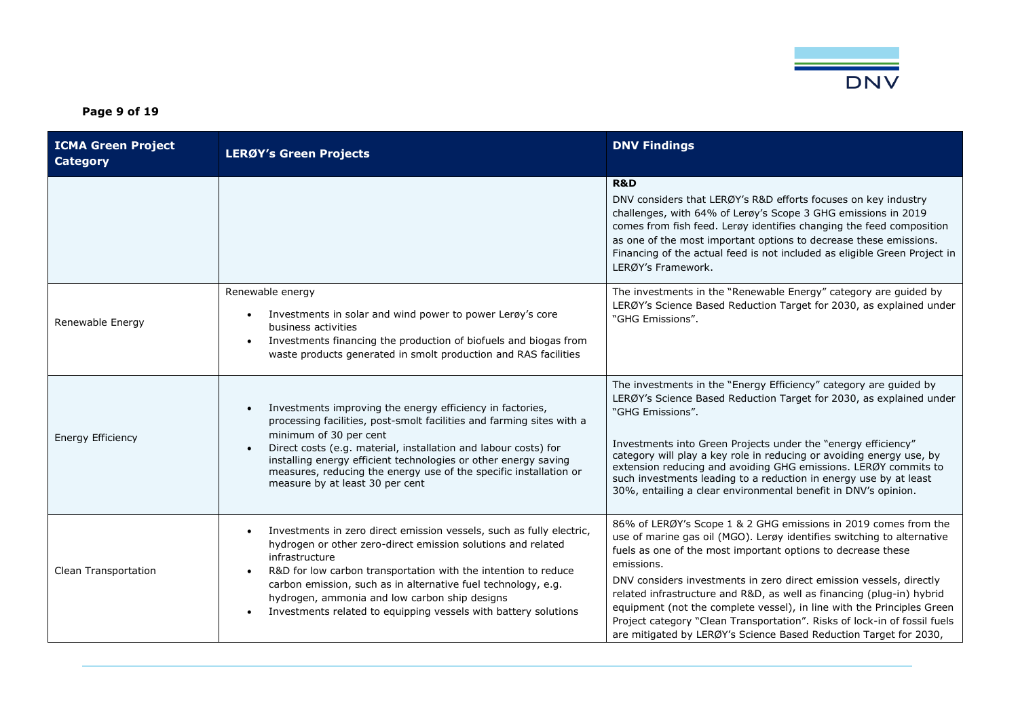

**Page 9 of 19**

| <b>ICMA Green Project</b><br><b>Category</b> | <b>LERØY's Green Projects</b>                                                                                                                                                                                                                                                                                                                                                                                                                        | <b>DNV Findings</b>                                                                                                                                                                                                                                                                                                                                                                                                                                                                                                                                                                                 |
|----------------------------------------------|------------------------------------------------------------------------------------------------------------------------------------------------------------------------------------------------------------------------------------------------------------------------------------------------------------------------------------------------------------------------------------------------------------------------------------------------------|-----------------------------------------------------------------------------------------------------------------------------------------------------------------------------------------------------------------------------------------------------------------------------------------------------------------------------------------------------------------------------------------------------------------------------------------------------------------------------------------------------------------------------------------------------------------------------------------------------|
|                                              |                                                                                                                                                                                                                                                                                                                                                                                                                                                      | <b>R&amp;D</b><br>DNV considers that LERØY's R&D efforts focuses on key industry<br>challenges, with 64% of Lerøy's Scope 3 GHG emissions in 2019<br>comes from fish feed. Lerøy identifies changing the feed composition<br>as one of the most important options to decrease these emissions.<br>Financing of the actual feed is not included as eligible Green Project in<br>LERØY's Framework.                                                                                                                                                                                                   |
| Renewable Energy                             | Renewable energy<br>Investments in solar and wind power to power Lergy's core<br>$\bullet$<br>business activities<br>Investments financing the production of biofuels and biogas from<br>$\bullet$<br>waste products generated in smolt production and RAS facilities                                                                                                                                                                                | The investments in the "Renewable Energy" category are guided by<br>LERØY's Science Based Reduction Target for 2030, as explained under<br>"GHG Emissions".                                                                                                                                                                                                                                                                                                                                                                                                                                         |
| <b>Energy Efficiency</b>                     | Investments improving the energy efficiency in factories,<br>$\bullet$<br>processing facilities, post-smolt facilities and farming sites with a<br>minimum of 30 per cent<br>Direct costs (e.g. material, installation and labour costs) for<br>$\bullet$<br>installing energy efficient technologies or other energy saving<br>measures, reducing the energy use of the specific installation or<br>measure by at least 30 per cent                 | The investments in the "Energy Efficiency" category are guided by<br>LERØY's Science Based Reduction Target for 2030, as explained under<br>"GHG Emissions".<br>Investments into Green Projects under the "energy efficiency"<br>category will play a key role in reducing or avoiding energy use, by<br>extension reducing and avoiding GHG emissions. LERØY commits to<br>such investments leading to a reduction in energy use by at least<br>30%, entailing a clear environmental benefit in DNV's opinion.                                                                                     |
| Clean Transportation                         | Investments in zero direct emission vessels, such as fully electric,<br>$\bullet$<br>hydrogen or other zero-direct emission solutions and related<br>infrastructure<br>R&D for low carbon transportation with the intention to reduce<br>$\bullet$<br>carbon emission, such as in alternative fuel technology, e.g.<br>hydrogen, ammonia and low carbon ship designs<br>Investments related to equipping vessels with battery solutions<br>$\bullet$ | 86% of LERØY's Scope 1 & 2 GHG emissions in 2019 comes from the<br>use of marine gas oil (MGO). Lerøy identifies switching to alternative<br>fuels as one of the most important options to decrease these<br>emissions.<br>DNV considers investments in zero direct emission vessels, directly<br>related infrastructure and R&D, as well as financing (plug-in) hybrid<br>equipment (not the complete vessel), in line with the Principles Green<br>Project category "Clean Transportation". Risks of lock-in of fossil fuels<br>are mitigated by LERØY's Science Based Reduction Target for 2030, |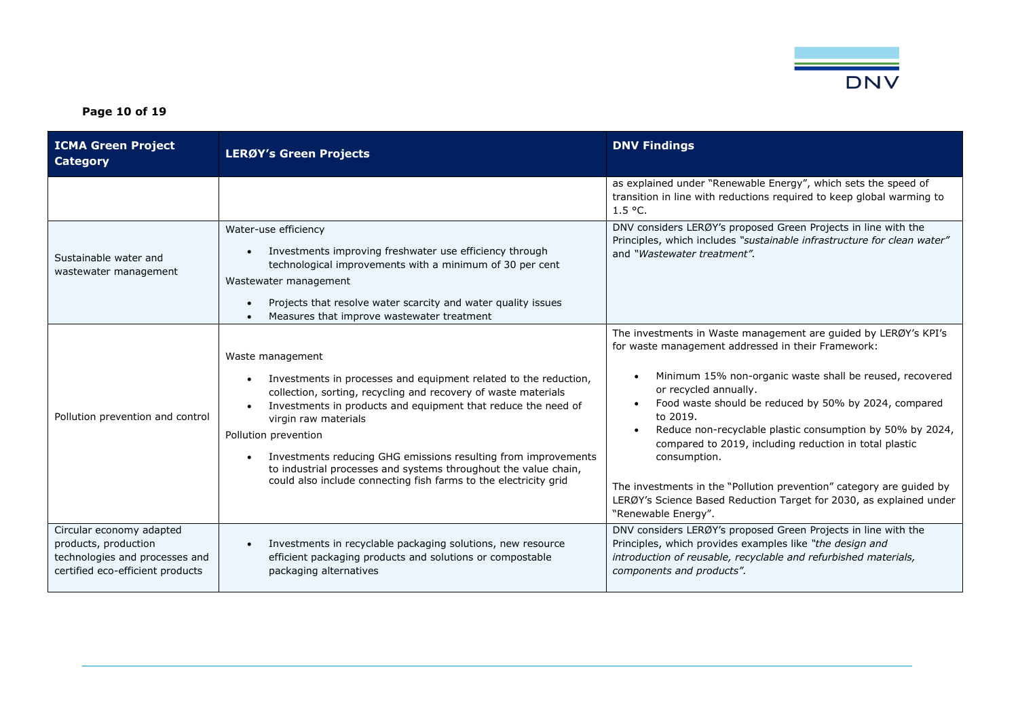

**Page 10 of 19**

| <b>ICMA Green Project</b><br><b>Category</b>                                                                           | <b>LERØY's Green Projects</b>                                                                                                                                                                                                                                                                                                                                                                                                                                                                                           | <b>DNV Findings</b>                                                                                                                                                                                                                                                                                                                                                                                                                                                                                                                                                                          |
|------------------------------------------------------------------------------------------------------------------------|-------------------------------------------------------------------------------------------------------------------------------------------------------------------------------------------------------------------------------------------------------------------------------------------------------------------------------------------------------------------------------------------------------------------------------------------------------------------------------------------------------------------------|----------------------------------------------------------------------------------------------------------------------------------------------------------------------------------------------------------------------------------------------------------------------------------------------------------------------------------------------------------------------------------------------------------------------------------------------------------------------------------------------------------------------------------------------------------------------------------------------|
|                                                                                                                        |                                                                                                                                                                                                                                                                                                                                                                                                                                                                                                                         | as explained under "Renewable Energy", which sets the speed of<br>transition in line with reductions required to keep global warming to<br>1.5 °C.                                                                                                                                                                                                                                                                                                                                                                                                                                           |
| Sustainable water and<br>wastewater management                                                                         | Water-use efficiency<br>Investments improving freshwater use efficiency through<br>$\bullet$<br>technological improvements with a minimum of 30 per cent<br>Wastewater management<br>Projects that resolve water scarcity and water quality issues<br>$\bullet$<br>Measures that improve wastewater treatment<br>$\bullet$                                                                                                                                                                                              | DNV considers LERØY's proposed Green Projects in line with the<br>Principles, which includes "sustainable infrastructure for clean water"<br>and "Wastewater treatment".                                                                                                                                                                                                                                                                                                                                                                                                                     |
| Pollution prevention and control                                                                                       | Waste management<br>Investments in processes and equipment related to the reduction,<br>$\bullet$<br>collection, sorting, recycling and recovery of waste materials<br>Investments in products and equipment that reduce the need of<br>$\bullet$<br>virgin raw materials<br>Pollution prevention<br>Investments reducing GHG emissions resulting from improvements<br>$\bullet$<br>to industrial processes and systems throughout the value chain,<br>could also include connecting fish farms to the electricity grid | The investments in Waste management are guided by LERØY's KPI's<br>for waste management addressed in their Framework:<br>Minimum 15% non-organic waste shall be reused, recovered<br>or recycled annually.<br>Food waste should be reduced by 50% by 2024, compared<br>to 2019.<br>Reduce non-recyclable plastic consumption by 50% by 2024,<br>compared to 2019, including reduction in total plastic<br>consumption.<br>The investments in the "Pollution prevention" category are guided by<br>LERØY's Science Based Reduction Target for 2030, as explained under<br>"Renewable Energy". |
| Circular economy adapted<br>products, production<br>technologies and processes and<br>certified eco-efficient products | Investments in recyclable packaging solutions, new resource<br>$\bullet$<br>efficient packaging products and solutions or compostable<br>packaging alternatives                                                                                                                                                                                                                                                                                                                                                         | DNV considers LERØY's proposed Green Projects in line with the<br>Principles, which provides examples like "the design and<br>introduction of reusable, recyclable and refurbished materials,<br>components and products".                                                                                                                                                                                                                                                                                                                                                                   |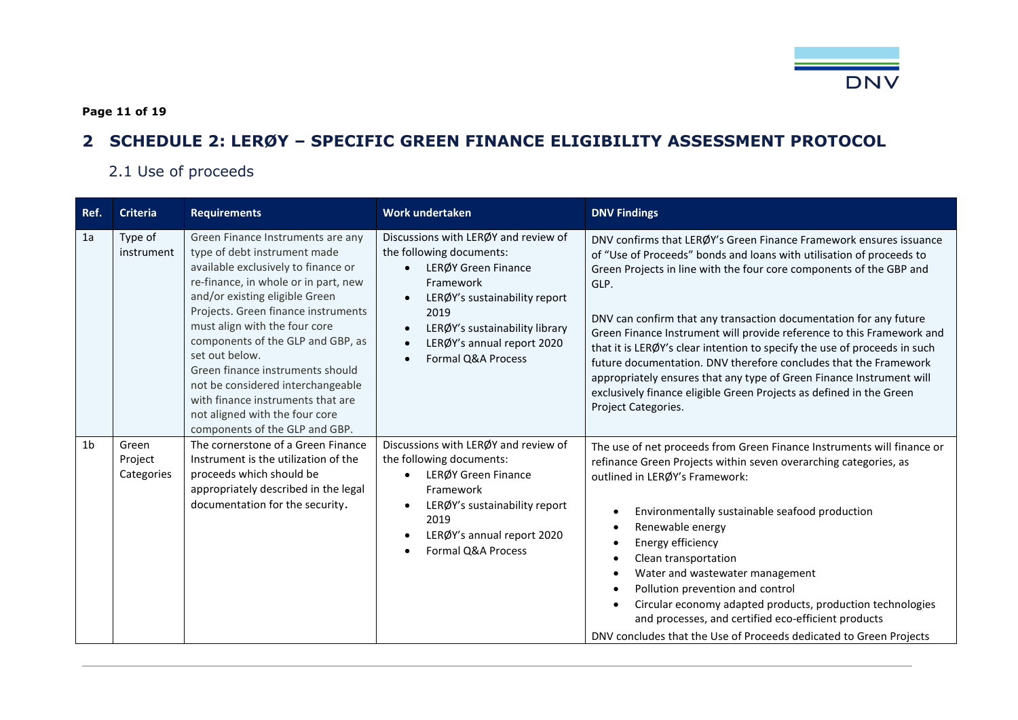

**Page 11 of 19**

# **2 SCHEDULE 2: LERØY – SPECIFIC GREEN FINANCE ELIGIBILITY ASSESSMENT PROTOCOL**

# 2.1 Use of proceeds

<span id="page-10-1"></span><span id="page-10-0"></span>

| Ref.           | <b>Criteria</b>                | <b>Requirements</b>                                                                                                                                                                                                                                                                                                                                                                                                                                                                                 | <b>Work undertaken</b>                                                                                                                                                                                                              | <b>DNV Findings</b>                                                                                                                                                                                                                                                                                                                                                                                                                                                                                                                                                                                                                                                                            |
|----------------|--------------------------------|-----------------------------------------------------------------------------------------------------------------------------------------------------------------------------------------------------------------------------------------------------------------------------------------------------------------------------------------------------------------------------------------------------------------------------------------------------------------------------------------------------|-------------------------------------------------------------------------------------------------------------------------------------------------------------------------------------------------------------------------------------|------------------------------------------------------------------------------------------------------------------------------------------------------------------------------------------------------------------------------------------------------------------------------------------------------------------------------------------------------------------------------------------------------------------------------------------------------------------------------------------------------------------------------------------------------------------------------------------------------------------------------------------------------------------------------------------------|
| 1a             | Type of<br>instrument          | Green Finance Instruments are any<br>type of debt instrument made<br>available exclusively to finance or<br>re-finance, in whole or in part, new<br>and/or existing eligible Green<br>Projects. Green finance instruments<br>must align with the four core<br>components of the GLP and GBP, as<br>set out below.<br>Green finance instruments should<br>not be considered interchangeable<br>with finance instruments that are<br>not aligned with the four core<br>components of the GLP and GBP. | Discussions with LERØY and review of<br>the following documents:<br>LERØY Green Finance<br>Framework<br>LERØY's sustainability report<br>2019<br>LERØY's sustainability library<br>LERØY's annual report 2020<br>Formal Q&A Process | DNV confirms that LERØY's Green Finance Framework ensures issuance<br>of "Use of Proceeds" bonds and loans with utilisation of proceeds to<br>Green Projects in line with the four core components of the GBP and<br>GLP.<br>DNV can confirm that any transaction documentation for any future<br>Green Finance Instrument will provide reference to this Framework and<br>that it is LERØY's clear intention to specify the use of proceeds in such<br>future documentation. DNV therefore concludes that the Framework<br>appropriately ensures that any type of Green Finance Instrument will<br>exclusively finance eligible Green Projects as defined in the Green<br>Project Categories. |
| 1 <sub>b</sub> | Green<br>Project<br>Categories | The cornerstone of a Green Finance<br>Instrument is the utilization of the<br>proceeds which should be<br>appropriately described in the legal<br>documentation for the security.                                                                                                                                                                                                                                                                                                                   | Discussions with LERØY and review of<br>the following documents:<br>LERØY Green Finance<br>Framework<br>LERØY's sustainability report<br>2019<br>LERØY's annual report 2020<br>Formal Q&A Process                                   | The use of net proceeds from Green Finance Instruments will finance or<br>refinance Green Projects within seven overarching categories, as<br>outlined in LERØY's Framework:<br>Environmentally sustainable seafood production<br>Renewable energy<br>Energy efficiency<br>Clean transportation<br>Water and wastewater management<br>Pollution prevention and control<br>Circular economy adapted products, production technologies<br>and processes, and certified eco-efficient products<br>DNV concludes that the Use of Proceeds dedicated to Green Projects                                                                                                                              |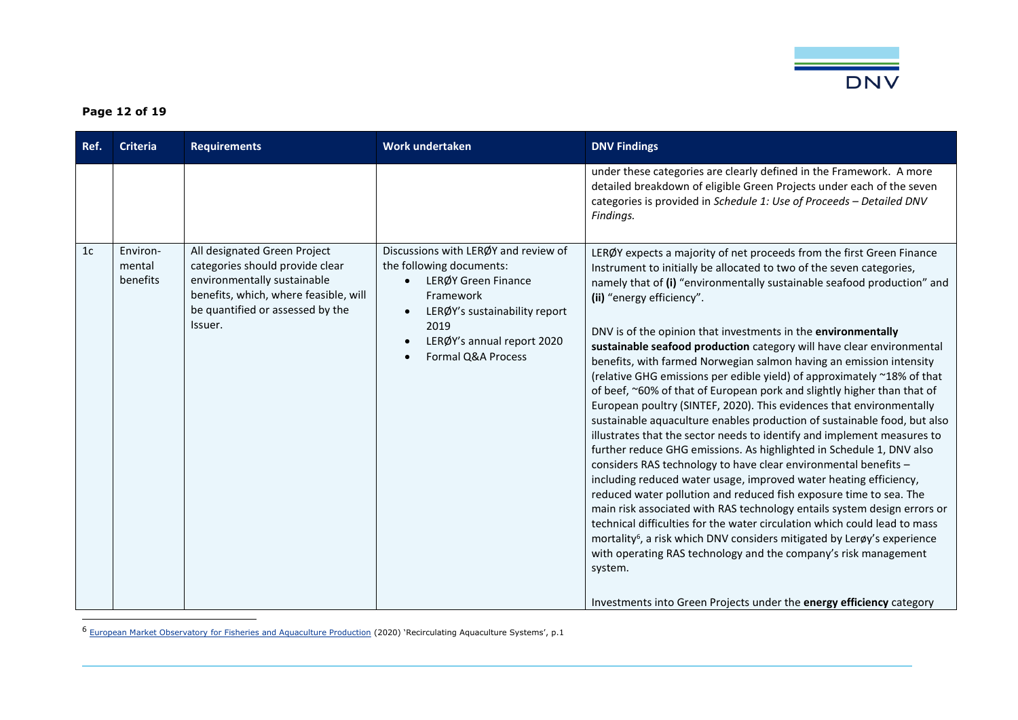

### **Page 12 of 19**

| Ref.           | <b>Criteria</b>                | <b>Requirements</b>                                                                                                                                                                    | <b>Work undertaken</b>                                                                                                                                                                            | <b>DNV Findings</b>                                                                                                                                                                                                                                                                                                                                                                                                                                                                                                                                                                                                                                                                                                                                                                                                                                                                                                                                                                                                                                                                                                                                                                                                                                                                                                                                                                                                                                                             |
|----------------|--------------------------------|----------------------------------------------------------------------------------------------------------------------------------------------------------------------------------------|---------------------------------------------------------------------------------------------------------------------------------------------------------------------------------------------------|---------------------------------------------------------------------------------------------------------------------------------------------------------------------------------------------------------------------------------------------------------------------------------------------------------------------------------------------------------------------------------------------------------------------------------------------------------------------------------------------------------------------------------------------------------------------------------------------------------------------------------------------------------------------------------------------------------------------------------------------------------------------------------------------------------------------------------------------------------------------------------------------------------------------------------------------------------------------------------------------------------------------------------------------------------------------------------------------------------------------------------------------------------------------------------------------------------------------------------------------------------------------------------------------------------------------------------------------------------------------------------------------------------------------------------------------------------------------------------|
|                |                                |                                                                                                                                                                                        |                                                                                                                                                                                                   | under these categories are clearly defined in the Framework. A more<br>detailed breakdown of eligible Green Projects under each of the seven<br>categories is provided in Schedule 1: Use of Proceeds - Detailed DNV<br>Findings.                                                                                                                                                                                                                                                                                                                                                                                                                                                                                                                                                                                                                                                                                                                                                                                                                                                                                                                                                                                                                                                                                                                                                                                                                                               |
| 1 <sub>c</sub> | Environ-<br>mental<br>benefits | All designated Green Project<br>categories should provide clear<br>environmentally sustainable<br>benefits, which, where feasible, will<br>be quantified or assessed by the<br>Issuer. | Discussions with LERØY and review of<br>the following documents:<br>LERØY Green Finance<br>Framework<br>LERØY's sustainability report<br>2019<br>LERØY's annual report 2020<br>Formal Q&A Process | LERØY expects a majority of net proceeds from the first Green Finance<br>Instrument to initially be allocated to two of the seven categories,<br>namely that of (i) "environmentally sustainable seafood production" and<br>(ii) "energy efficiency".<br>DNV is of the opinion that investments in the environmentally<br>sustainable seafood production category will have clear environmental<br>benefits, with farmed Norwegian salmon having an emission intensity<br>(relative GHG emissions per edible yield) of approximately ~18% of that<br>of beef, ~60% of that of European pork and slightly higher than that of<br>European poultry (SINTEF, 2020). This evidences that environmentally<br>sustainable aquaculture enables production of sustainable food, but also<br>illustrates that the sector needs to identify and implement measures to<br>further reduce GHG emissions. As highlighted in Schedule 1, DNV also<br>considers RAS technology to have clear environmental benefits -<br>including reduced water usage, improved water heating efficiency,<br>reduced water pollution and reduced fish exposure time to sea. The<br>main risk associated with RAS technology entails system design errors or<br>technical difficulties for the water circulation which could lead to mass<br>mortality <sup>6</sup> , a risk which DNV considers mitigated by Lerøy's experience<br>with operating RAS technology and the company's risk management<br>system. |
|                |                                |                                                                                                                                                                                        |                                                                                                                                                                                                   | Investments into Green Projects under the energy efficiency category                                                                                                                                                                                                                                                                                                                                                                                                                                                                                                                                                                                                                                                                                                                                                                                                                                                                                                                                                                                                                                                                                                                                                                                                                                                                                                                                                                                                            |

<sup>6</sup> [European Market Observatory for Fisheries and Aquaculture Production](https://www.eumofa.eu/documents/20178/84590/RAS+in+the+EU.pdf) (2020) 'Recirculating Aquaculture Systems', p.1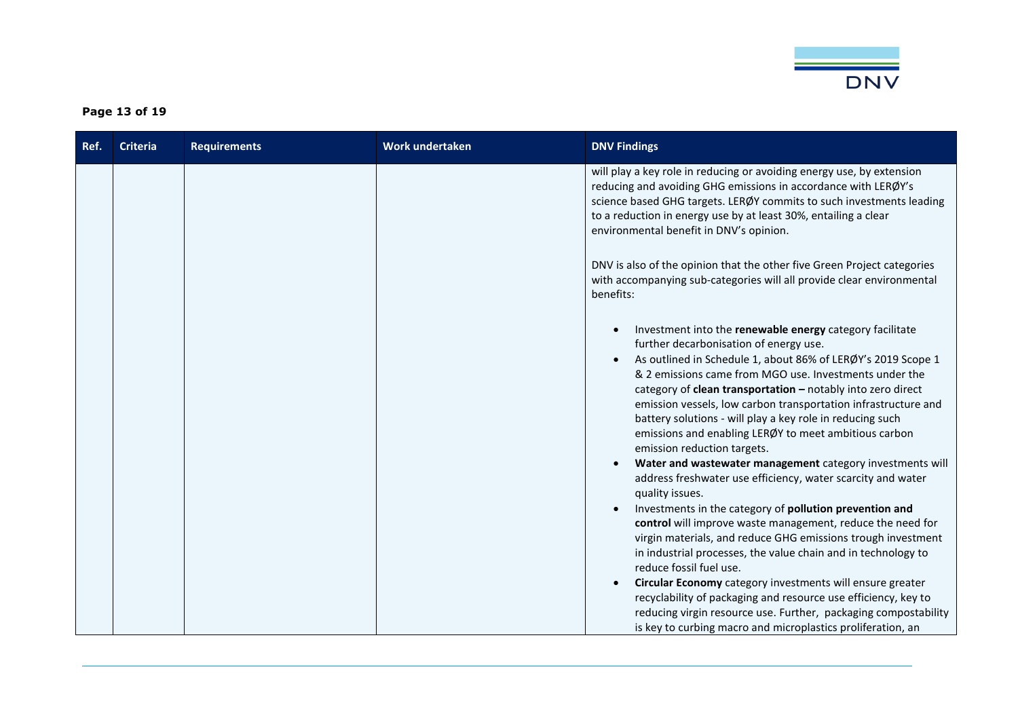

### **Page 13 of 19**

| environmental benefit in DNV's opinion.                                                                             | will play a key role in reducing or avoiding energy use, by extension<br>reducing and avoiding GHG emissions in accordance with LERØY's<br>science based GHG targets. LERØY commits to such investments leading<br>to a reduction in energy use by at least 30%, entailing a clear<br>DNV is also of the opinion that the other five Green Project categories                                                                                                                                                                                                                                                                                                                                                                                                                                                                                                                                                                                                                                                                     |
|---------------------------------------------------------------------------------------------------------------------|-----------------------------------------------------------------------------------------------------------------------------------------------------------------------------------------------------------------------------------------------------------------------------------------------------------------------------------------------------------------------------------------------------------------------------------------------------------------------------------------------------------------------------------------------------------------------------------------------------------------------------------------------------------------------------------------------------------------------------------------------------------------------------------------------------------------------------------------------------------------------------------------------------------------------------------------------------------------------------------------------------------------------------------|
|                                                                                                                     |                                                                                                                                                                                                                                                                                                                                                                                                                                                                                                                                                                                                                                                                                                                                                                                                                                                                                                                                                                                                                                   |
| benefits:                                                                                                           | with accompanying sub-categories will all provide clear environmental                                                                                                                                                                                                                                                                                                                                                                                                                                                                                                                                                                                                                                                                                                                                                                                                                                                                                                                                                             |
| further decarbonisation of energy use.<br>emission reduction targets.<br>quality issues.<br>reduce fossil fuel use. | Investment into the renewable energy category facilitate<br>As outlined in Schedule 1, about 86% of LERØY's 2019 Scope 1<br>& 2 emissions came from MGO use. Investments under the<br>category of clean transportation - notably into zero direct<br>emission vessels, low carbon transportation infrastructure and<br>battery solutions - will play a key role in reducing such<br>emissions and enabling LERØY to meet ambitious carbon<br>Water and wastewater management category investments will<br>address freshwater use efficiency, water scarcity and water<br>Investments in the category of pollution prevention and<br>control will improve waste management, reduce the need for<br>virgin materials, and reduce GHG emissions trough investment<br>in industrial processes, the value chain and in technology to<br>Circular Economy category investments will ensure greater<br>recyclability of packaging and resource use efficiency, key to<br>reducing virgin resource use. Further, packaging compostability |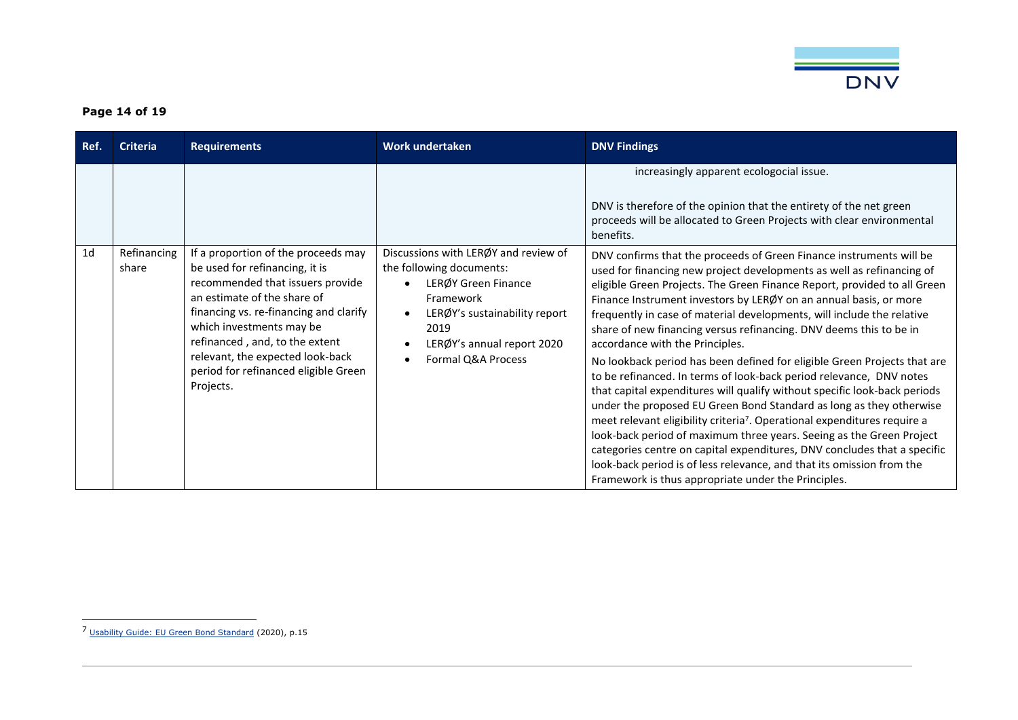

### **Page 14 of 19**

| Ref.           | <b>Criteria</b>      | <b>Requirements</b>                                                                                                                                                                                                                                                                                                                       | Work undertaken                                                                                                                                                                                   | <b>DNV Findings</b>                                                                                                                                                                                                                                                                                                                                                                                                                                                                                                                                                                                                                                                                                                                                                                                                                                                                                                                                                                                                                                                                                                                                                 |
|----------------|----------------------|-------------------------------------------------------------------------------------------------------------------------------------------------------------------------------------------------------------------------------------------------------------------------------------------------------------------------------------------|---------------------------------------------------------------------------------------------------------------------------------------------------------------------------------------------------|---------------------------------------------------------------------------------------------------------------------------------------------------------------------------------------------------------------------------------------------------------------------------------------------------------------------------------------------------------------------------------------------------------------------------------------------------------------------------------------------------------------------------------------------------------------------------------------------------------------------------------------------------------------------------------------------------------------------------------------------------------------------------------------------------------------------------------------------------------------------------------------------------------------------------------------------------------------------------------------------------------------------------------------------------------------------------------------------------------------------------------------------------------------------|
|                |                      |                                                                                                                                                                                                                                                                                                                                           |                                                                                                                                                                                                   | increasingly apparent ecologocial issue.<br>DNV is therefore of the opinion that the entirety of the net green<br>proceeds will be allocated to Green Projects with clear environmental<br>benefits.                                                                                                                                                                                                                                                                                                                                                                                                                                                                                                                                                                                                                                                                                                                                                                                                                                                                                                                                                                |
| 1 <sub>d</sub> | Refinancing<br>share | If a proportion of the proceeds may<br>be used for refinancing, it is<br>recommended that issuers provide<br>an estimate of the share of<br>financing vs. re-financing and clarify<br>which investments may be<br>refinanced, and, to the extent<br>relevant, the expected look-back<br>period for refinanced eligible Green<br>Projects. | Discussions with LERØY and review of<br>the following documents:<br>LERØY Green Finance<br>Framework<br>LERØY's sustainability report<br>2019<br>LERØY's annual report 2020<br>Formal Q&A Process | DNV confirms that the proceeds of Green Finance instruments will be<br>used for financing new project developments as well as refinancing of<br>eligible Green Projects. The Green Finance Report, provided to all Green<br>Finance Instrument investors by LERØY on an annual basis, or more<br>frequently in case of material developments, will include the relative<br>share of new financing versus refinancing. DNV deems this to be in<br>accordance with the Principles.<br>No lookback period has been defined for eligible Green Projects that are<br>to be refinanced. In terms of look-back period relevance, DNV notes<br>that capital expenditures will qualify without specific look-back periods<br>under the proposed EU Green Bond Standard as long as they otherwise<br>meet relevant eligibility criteria <sup>7</sup> . Operational expenditures require a<br>look-back period of maximum three years. Seeing as the Green Project<br>categories centre on capital expenditures, DNV concludes that a specific<br>look-back period is of less relevance, and that its omission from the<br>Framework is thus appropriate under the Principles. |

<sup>7</sup> [Usability Guide: EU Green Bond Standard](https://ec.europa.eu/info/sites/default/files/business_economy_euro/banking_and_finance/documents/200309-sustainable-finance-teg-green-bond-standard-usability-guide_en.pdf) (2020), p.15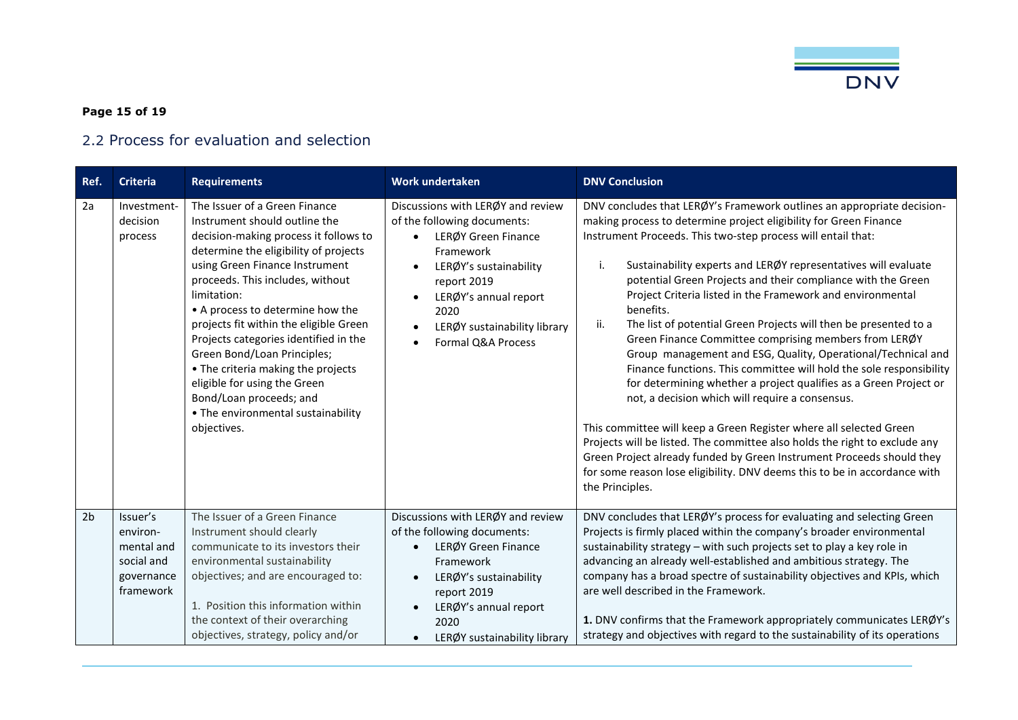

### **Page 15 of 19**

# 2.2 Process for evaluation and selection

<span id="page-14-0"></span>

| Ref.           | <b>Criteria</b>                                                             | <b>Requirements</b>                                                                                                                                                                                                                                                                                                                                                                                                                                                                                                                               | <b>Work undertaken</b>                                                                                                                                                                                                               | <b>DNV Conclusion</b>                                                                                                                                                                                                                                                                                                                                                                                                                                                                                                                                                                                                                                                                                                                                                                                                                                                                                                                                                                                                                                                                                                                                          |
|----------------|-----------------------------------------------------------------------------|---------------------------------------------------------------------------------------------------------------------------------------------------------------------------------------------------------------------------------------------------------------------------------------------------------------------------------------------------------------------------------------------------------------------------------------------------------------------------------------------------------------------------------------------------|--------------------------------------------------------------------------------------------------------------------------------------------------------------------------------------------------------------------------------------|----------------------------------------------------------------------------------------------------------------------------------------------------------------------------------------------------------------------------------------------------------------------------------------------------------------------------------------------------------------------------------------------------------------------------------------------------------------------------------------------------------------------------------------------------------------------------------------------------------------------------------------------------------------------------------------------------------------------------------------------------------------------------------------------------------------------------------------------------------------------------------------------------------------------------------------------------------------------------------------------------------------------------------------------------------------------------------------------------------------------------------------------------------------|
| 2a             | Investment-<br>decision<br>process                                          | The Issuer of a Green Finance<br>Instrument should outline the<br>decision-making process it follows to<br>determine the eligibility of projects<br>using Green Finance Instrument<br>proceeds. This includes, without<br>limitation:<br>• A process to determine how the<br>projects fit within the eligible Green<br>Projects categories identified in the<br>Green Bond/Loan Principles;<br>• The criteria making the projects<br>eligible for using the Green<br>Bond/Loan proceeds; and<br>• The environmental sustainability<br>objectives. | Discussions with LERØY and review<br>of the following documents:<br>LERØY Green Finance<br>Framework<br>LERØY's sustainability<br>report 2019<br>LERØY's annual report<br>2020<br>LERØY sustainability library<br>Formal Q&A Process | DNV concludes that LERØY's Framework outlines an appropriate decision-<br>making process to determine project eligibility for Green Finance<br>Instrument Proceeds. This two-step process will entail that:<br>i.<br>Sustainability experts and LERØY representatives will evaluate<br>potential Green Projects and their compliance with the Green<br>Project Criteria listed in the Framework and environmental<br>benefits.<br>The list of potential Green Projects will then be presented to a<br>ii.<br>Green Finance Committee comprising members from LERØY<br>Group management and ESG, Quality, Operational/Technical and<br>Finance functions. This committee will hold the sole responsibility<br>for determining whether a project qualifies as a Green Project or<br>not, a decision which will require a consensus.<br>This committee will keep a Green Register where all selected Green<br>Projects will be listed. The committee also holds the right to exclude any<br>Green Project already funded by Green Instrument Proceeds should they<br>for some reason lose eligibility. DNV deems this to be in accordance with<br>the Principles. |
| 2 <sub>b</sub> | Issuer's<br>environ-<br>mental and<br>social and<br>governance<br>framework | The Issuer of a Green Finance<br>Instrument should clearly<br>communicate to its investors their<br>environmental sustainability<br>objectives; and are encouraged to:<br>1. Position this information within<br>the context of their overarching<br>objectives, strategy, policy and/or                                                                                                                                                                                                                                                          | Discussions with LERØY and review<br>of the following documents:<br>LERØY Green Finance<br>Framework<br>LERØY's sustainability<br>report 2019<br>LERØY's annual report<br>2020<br>LERØY sustainability library                       | DNV concludes that LERØY's process for evaluating and selecting Green<br>Projects is firmly placed within the company's broader environmental<br>sustainability strategy - with such projects set to play a key role in<br>advancing an already well-established and ambitious strategy. The<br>company has a broad spectre of sustainability objectives and KPIs, which<br>are well described in the Framework.<br>1. DNV confirms that the Framework appropriately communicates LERØY's<br>strategy and objectives with regard to the sustainability of its operations                                                                                                                                                                                                                                                                                                                                                                                                                                                                                                                                                                                       |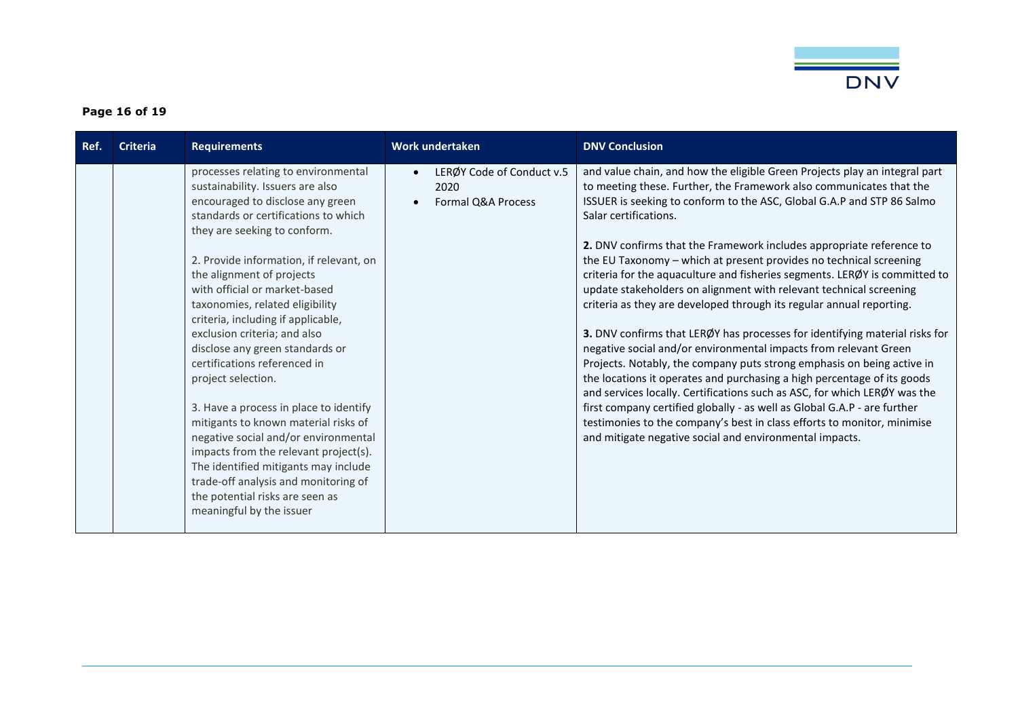

### **Page 16 of 19**

| Ref. | <b>Criteria</b> | <b>Requirements</b>                                                                                                                                                                                                                                                                                                                                                                                                                                                                                                                                                                                                                                                                                                                                                                                              | Work undertaken                                         | <b>DNV Conclusion</b>                                                                                                                                                                                                                                                                                                                                                                                                                                                                                                                                                                                                                                                                                                                                                                                                                                                                                                                                                                                                                                                                                                                                                                                                                 |
|------|-----------------|------------------------------------------------------------------------------------------------------------------------------------------------------------------------------------------------------------------------------------------------------------------------------------------------------------------------------------------------------------------------------------------------------------------------------------------------------------------------------------------------------------------------------------------------------------------------------------------------------------------------------------------------------------------------------------------------------------------------------------------------------------------------------------------------------------------|---------------------------------------------------------|---------------------------------------------------------------------------------------------------------------------------------------------------------------------------------------------------------------------------------------------------------------------------------------------------------------------------------------------------------------------------------------------------------------------------------------------------------------------------------------------------------------------------------------------------------------------------------------------------------------------------------------------------------------------------------------------------------------------------------------------------------------------------------------------------------------------------------------------------------------------------------------------------------------------------------------------------------------------------------------------------------------------------------------------------------------------------------------------------------------------------------------------------------------------------------------------------------------------------------------|
|      |                 | processes relating to environmental<br>sustainability. Issuers are also<br>encouraged to disclose any green<br>standards or certifications to which<br>they are seeking to conform.<br>2. Provide information, if relevant, on<br>the alignment of projects<br>with official or market-based<br>taxonomies, related eligibility<br>criteria, including if applicable,<br>exclusion criteria; and also<br>disclose any green standards or<br>certifications referenced in<br>project selection.<br>3. Have a process in place to identify<br>mitigants to known material risks of<br>negative social and/or environmental<br>impacts from the relevant project(s).<br>The identified mitigants may include<br>trade-off analysis and monitoring of<br>the potential risks are seen as<br>meaningful by the issuer | LERØY Code of Conduct v.5<br>2020<br>Formal Q&A Process | and value chain, and how the eligible Green Projects play an integral part<br>to meeting these. Further, the Framework also communicates that the<br>ISSUER is seeking to conform to the ASC, Global G.A.P and STP 86 Salmo<br>Salar certifications.<br>2. DNV confirms that the Framework includes appropriate reference to<br>the EU Taxonomy - which at present provides no technical screening<br>criteria for the aquaculture and fisheries segments. LERØY is committed to<br>update stakeholders on alignment with relevant technical screening<br>criteria as they are developed through its regular annual reporting.<br>3. DNV confirms that LERØY has processes for identifying material risks for<br>negative social and/or environmental impacts from relevant Green<br>Projects. Notably, the company puts strong emphasis on being active in<br>the locations it operates and purchasing a high percentage of its goods<br>and services locally. Certifications such as ASC, for which LERØY was the<br>first company certified globally - as well as Global G.A.P - are further<br>testimonies to the company's best in class efforts to monitor, minimise<br>and mitigate negative social and environmental impacts. |
|      |                 |                                                                                                                                                                                                                                                                                                                                                                                                                                                                                                                                                                                                                                                                                                                                                                                                                  |                                                         |                                                                                                                                                                                                                                                                                                                                                                                                                                                                                                                                                                                                                                                                                                                                                                                                                                                                                                                                                                                                                                                                                                                                                                                                                                       |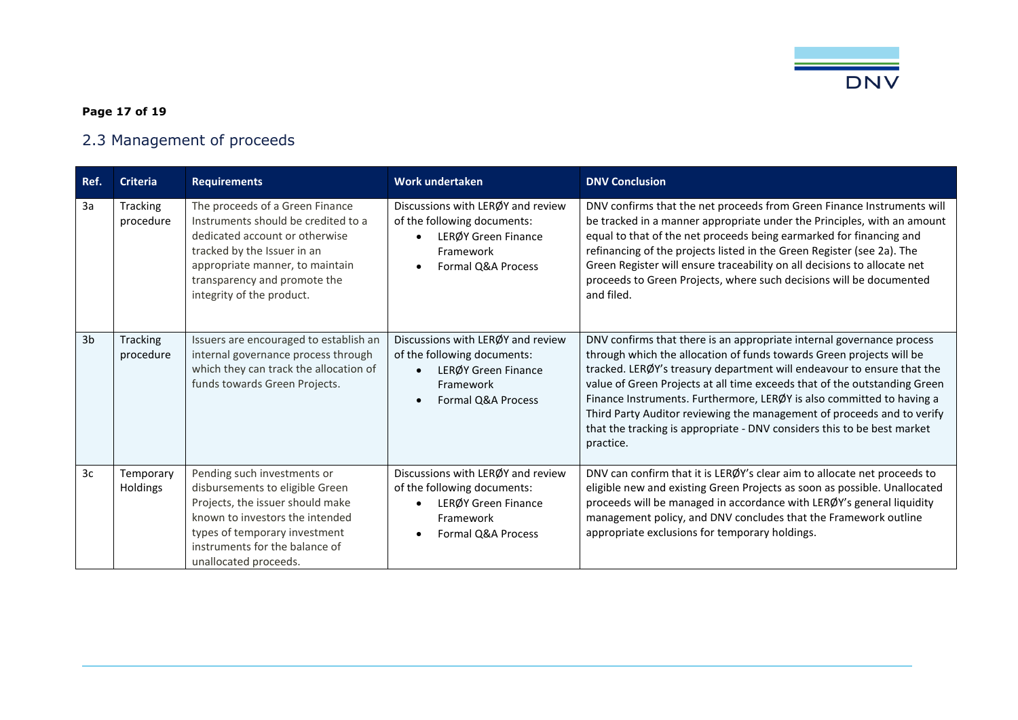

### **Page 17 of 19**

# 2.3 Management of proceeds

<span id="page-16-0"></span>

| Ref.           | <b>Criteria</b>       | <b>Requirements</b>                                                                                                                                                                                                                     | Work undertaken                                                                                                            | <b>DNV Conclusion</b>                                                                                                                                                                                                                                                                                                                                                                                                                                                                                                                           |
|----------------|-----------------------|-----------------------------------------------------------------------------------------------------------------------------------------------------------------------------------------------------------------------------------------|----------------------------------------------------------------------------------------------------------------------------|-------------------------------------------------------------------------------------------------------------------------------------------------------------------------------------------------------------------------------------------------------------------------------------------------------------------------------------------------------------------------------------------------------------------------------------------------------------------------------------------------------------------------------------------------|
| 3a             | Tracking<br>procedure | The proceeds of a Green Finance<br>Instruments should be credited to a<br>dedicated account or otherwise<br>tracked by the Issuer in an<br>appropriate manner, to maintain<br>transparency and promote the<br>integrity of the product. | Discussions with LERØY and review<br>of the following documents:<br>LERØY Green Finance<br>Framework<br>Formal Q&A Process | DNV confirms that the net proceeds from Green Finance Instruments will<br>be tracked in a manner appropriate under the Principles, with an amount<br>equal to that of the net proceeds being earmarked for financing and<br>refinancing of the projects listed in the Green Register (see 2a). The<br>Green Register will ensure traceability on all decisions to allocate net<br>proceeds to Green Projects, where such decisions will be documented<br>and filed.                                                                             |
| 3 <sub>b</sub> | Tracking<br>procedure | Issuers are encouraged to establish an<br>internal governance process through<br>which they can track the allocation of<br>funds towards Green Projects.                                                                                | Discussions with LERØY and review<br>of the following documents:<br>LERØY Green Finance<br>Framework<br>Formal Q&A Process | DNV confirms that there is an appropriate internal governance process<br>through which the allocation of funds towards Green projects will be<br>tracked. LERØY's treasury department will endeavour to ensure that the<br>value of Green Projects at all time exceeds that of the outstanding Green<br>Finance Instruments. Furthermore, LERØY is also committed to having a<br>Third Party Auditor reviewing the management of proceeds and to verify<br>that the tracking is appropriate - DNV considers this to be best market<br>practice. |
| 3c             | Temporary<br>Holdings | Pending such investments or<br>disbursements to eligible Green<br>Projects, the issuer should make<br>known to investors the intended<br>types of temporary investment<br>instruments for the balance of<br>unallocated proceeds.       | Discussions with LERØY and review<br>of the following documents:<br>LERØY Green Finance<br>Framework<br>Formal Q&A Process | DNV can confirm that it is LERØY's clear aim to allocate net proceeds to<br>eligible new and existing Green Projects as soon as possible. Unallocated<br>proceeds will be managed in accordance with LERØY's general liquidity<br>management policy, and DNV concludes that the Framework outline<br>appropriate exclusions for temporary holdings.                                                                                                                                                                                             |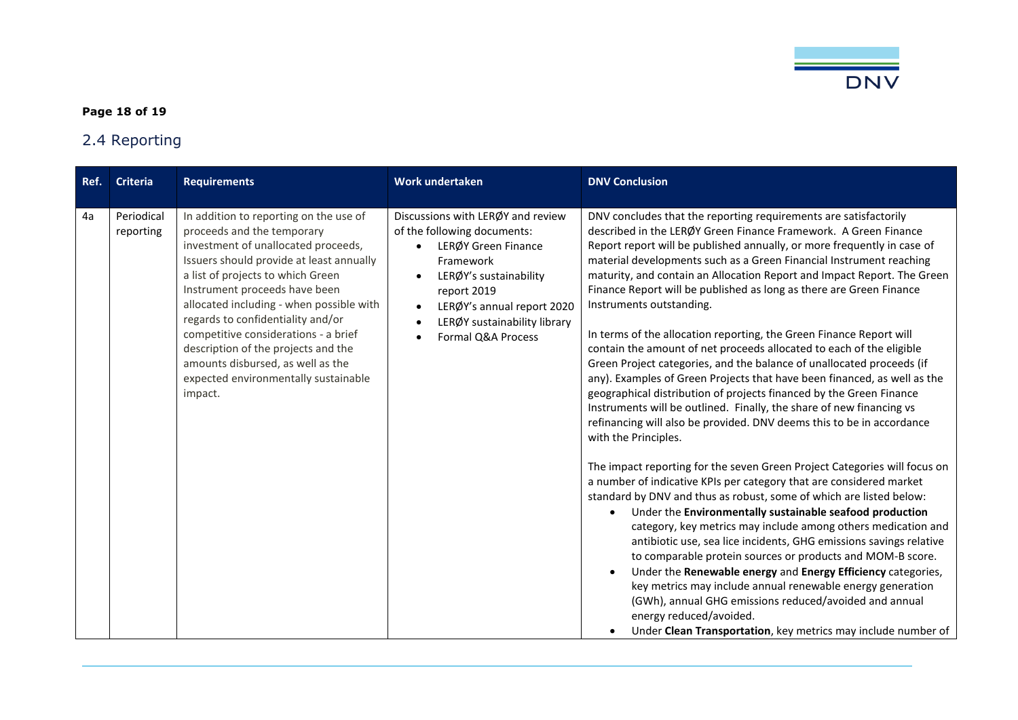

### **Page 18 of 19**

# 2.4 Reporting

<span id="page-17-0"></span>

| Ref. | <b>Criteria</b>         | <b>Requirements</b>                                                                                                                                                                                                                                                                                                                                                                                                                                                                   | <b>Work undertaken</b>                                                                                                                                                                                                            | <b>DNV Conclusion</b>                                                                                                                                                                                                                                                                                                                                                                                                                                                                                                                                                                                                                                                                                                                                                                                                                                                                                                                                                                                                                                                                                                                                                                                                                                                                                                                                                                                                                                                                                                                                                                                                                                                                                                                                                                                                |
|------|-------------------------|---------------------------------------------------------------------------------------------------------------------------------------------------------------------------------------------------------------------------------------------------------------------------------------------------------------------------------------------------------------------------------------------------------------------------------------------------------------------------------------|-----------------------------------------------------------------------------------------------------------------------------------------------------------------------------------------------------------------------------------|----------------------------------------------------------------------------------------------------------------------------------------------------------------------------------------------------------------------------------------------------------------------------------------------------------------------------------------------------------------------------------------------------------------------------------------------------------------------------------------------------------------------------------------------------------------------------------------------------------------------------------------------------------------------------------------------------------------------------------------------------------------------------------------------------------------------------------------------------------------------------------------------------------------------------------------------------------------------------------------------------------------------------------------------------------------------------------------------------------------------------------------------------------------------------------------------------------------------------------------------------------------------------------------------------------------------------------------------------------------------------------------------------------------------------------------------------------------------------------------------------------------------------------------------------------------------------------------------------------------------------------------------------------------------------------------------------------------------------------------------------------------------------------------------------------------------|
| 4a   | Periodical<br>reporting | In addition to reporting on the use of<br>proceeds and the temporary<br>investment of unallocated proceeds,<br>Issuers should provide at least annually<br>a list of projects to which Green<br>Instrument proceeds have been<br>allocated including - when possible with<br>regards to confidentiality and/or<br>competitive considerations - a brief<br>description of the projects and the<br>amounts disbursed, as well as the<br>expected environmentally sustainable<br>impact. | Discussions with LERØY and review<br>of the following documents:<br>LERØY Green Finance<br>Framework<br>LERØY's sustainability<br>report 2019<br>LERØY's annual report 2020<br>LERØY sustainability library<br>Formal Q&A Process | DNV concludes that the reporting requirements are satisfactorily<br>described in the LERØY Green Finance Framework. A Green Finance<br>Report report will be published annually, or more frequently in case of<br>material developments such as a Green Financial Instrument reaching<br>maturity, and contain an Allocation Report and Impact Report. The Green<br>Finance Report will be published as long as there are Green Finance<br>Instruments outstanding.<br>In terms of the allocation reporting, the Green Finance Report will<br>contain the amount of net proceeds allocated to each of the eligible<br>Green Project categories, and the balance of unallocated proceeds (if<br>any). Examples of Green Projects that have been financed, as well as the<br>geographical distribution of projects financed by the Green Finance<br>Instruments will be outlined. Finally, the share of new financing vs<br>refinancing will also be provided. DNV deems this to be in accordance<br>with the Principles.<br>The impact reporting for the seven Green Project Categories will focus on<br>a number of indicative KPIs per category that are considered market<br>standard by DNV and thus as robust, some of which are listed below:<br>Under the Environmentally sustainable seafood production<br>$\bullet$<br>category, key metrics may include among others medication and<br>antibiotic use, sea lice incidents, GHG emissions savings relative<br>to comparable protein sources or products and MOM-B score.<br>Under the Renewable energy and Energy Efficiency categories,<br>key metrics may include annual renewable energy generation<br>(GWh), annual GHG emissions reduced/avoided and annual<br>energy reduced/avoided.<br>Under Clean Transportation, key metrics may include number of |